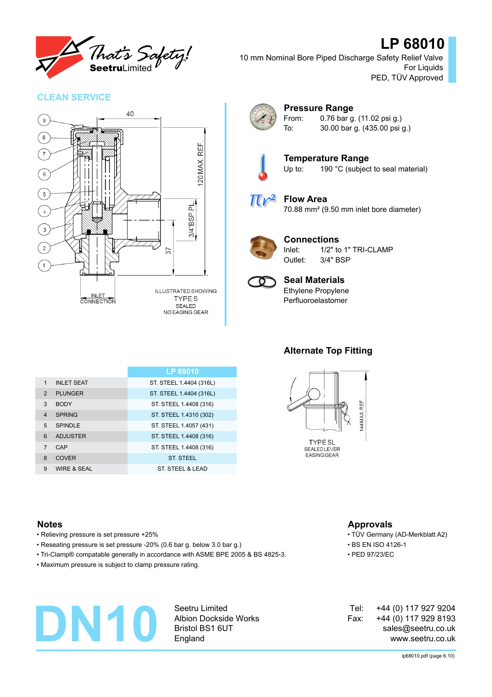

# **LP 68010**

10 mm Nominal Bore Piped Discharge Safety Relief Valve For Liquids PED, TÜV Approved

#### **CLEAN SERVICE**





#### **Pressure Range** From: 0.76 bar g. (11.02 psi g.)

To: 30.00 bar g. (435.00 psi g.)



**Temperature Range** Up to: 190 °C (subject to seal material)



#### **Flow Area** 70.88 mm² (9.50 mm inlet bore diameter)



#### **Connections**

Inlet: 1/2" to 1" TRI-CLAMP Outlet: 3/4" BSP



#### **Seal Materials** Ethylene Propylene

Perfluoroelastomer

#### **LP 68010** 1 INLET SEAT ST. ST. STEEL 1.4404 (316L) 2 PLUNGER ST. STEEL 1.4404 (316L) 3 BODY ST. STEEL 1.4408 (316) 4 SPRING ST. STEEL 1.4310 (302) 5 SPINDLE ST. STEEL 1.4057 (431) 6 ADJUSTER ST. STEEL 1.4408 (316) 7 CAP ST. STEEL 1.4408 (316) 8 COVER ST. STEEL 9 WIRE & SEAL ST. STEEL & LEAD

## **Alternate Top Fitting**



### **Notes Approvals**

- Relieving pressure is set pressure +25% TÜV Germany (AD-Merkblatt A2)
- Reseating pressure is set pressure -20% (0.6 bar g. below 3.0 bar g.) BS EN ISO 4126-1
- Tri-Clamp® compatable generally in accordance with ASME BPE 2005 & BS 4825-3. PED 97/23/EC
- Maximum pressure is subject to clamp pressure rating.

# **DN10**

Seetru Limited Albion Dockside Works Bristol BS1 6UT England

#### +44 (0) 117 927 9204 +44 (0) 117 929 8193 sales@seetru.co.uk www.seetru.co.uk Tel: Fax:

#### lp68010.pdf (page 6.10)